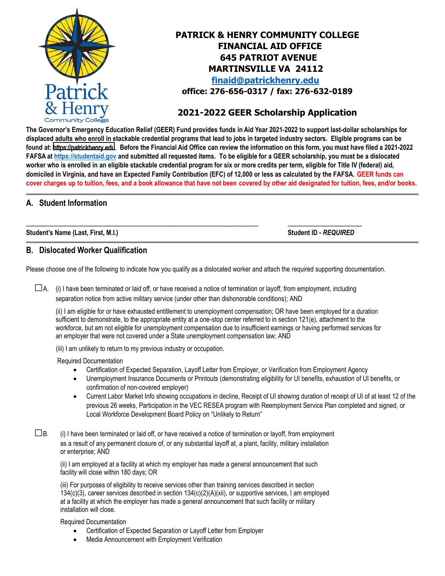

# **PATRICK & HENRY COMMUNITY COLLEGE FINANCIAL AID OFFICE 645 PATRIOT AVENUE MARTINSVILLE VA 24112 [finaid@patrickhenry.edu](mailto:finaid@patrickhenry.edu) office: 276-656-0317 / fax: 276-632-0189**

# **2021-2022 GEER Scholarship Application**

**The Governor's Emergency Education Relief (GEER) Fund provides funds in Aid Year 2021-2022 to support last-dollar scholarships for displaced adults who enroll in stackable credential programs that lead to jobs in targeted industry sectors. Eligible programs can be found at:** [https://patrickhenry.edu](https://apps.patrickhenry.edu/academics/g3/index.php). **Before the Financial Aid Office can review the information on this form, you must have filed a 2021-2022 FAFSA at [https://studentaid.gov](https://studentaid.gov/) and submitted all requested items. To be eligible for a GEER scholarship, you must be a dislocated worker who is enrolled in an eligible stackable credential program for six or more credits per term, eligible for Title IV (federal) aid, domiciled in Virginia, and have an Expected Family Contribution (EFC) of 12,000 or less as calculated by the FAFSA. GEER funds can cover charges up to tuition, fees, and a book allowance that have not been covered by other aid designated for tuition, fees, and/or books.**

### **A. Student Information**

**Student's Name (Last, First, M.I.) Student ID -** *REQUIRED*

### **B. Dislocated Worker Qualification**

Please choose one of the following to indicate how you qualify as a dislocated worker and attach the required supporting documentation.

 $\square$ A. (i) I have been terminated or laid off, or have received a notice of termination or layoff, from employment, including separation notice from active military service (under other than dishonorable conditions); AND

**\_\_\_\_\_\_\_\_\_\_\_\_\_\_\_\_\_\_\_\_\_\_\_\_\_\_\_\_\_\_\_\_\_\_\_\_\_\_\_\_\_\_\_\_\_\_\_\_\_\_ \_\_\_\_\_\_\_\_\_\_\_\_\_\_\_\_**

(ii) I am eligible for or have exhausted entitlement to unemployment compensation; OR have been employed for a duration sufficient to demonstrate, to the appropriate entity at a one-stop center referred to in section 121(e), attachment to the workforce, but am not eligible for unemployment compensation due to insufficient earnings or having performed services for an employer that were not covered under a State unemployment compensation law; AND

(iii) I am unlikely to return to my previous industry or occupation.

Required Documentation

- Certification of Expected Separation, Layoff Letter from Employer, or Verification from Employment Agency
- Unemployment Insurance Documents or Printouts (demonstrating eligibility for UI benefits, exhaustion of UI benefits, or confirmation of non-covered employer)
- Current Labor Market Info showing occupations in decline, Receipt of UI showing duration of receipt of UI of at least 12 of the previous 26 weeks, Participation in the VEC RESEA program with Reemployment Service Plan completed and signed, or Local Workforce Development Board Policy on "Unlikely to Return"

 $\square$ B. (i) I have been terminated or laid off, or have received a notice of termination or layoff, from employment as a result of any permanent closure of, or any substantial layoff at, a plant, facility, military installation or enterprise; AND

(ii) I am employed at a facility at which my employer has made a general announcement that such facility will close within 180 days; OR

(iii) For purposes of eligibility to receive services other than training services described in section 134(c)(3), career services described in section 134(c)(2)(A)(xii), or supportive services, I am employed at a facility at which the employer has made a general announcement that such facility or military installation will close.

Required Documentation

- Certification of Expected Separation or Layoff Letter from Employer
- Media Announcement with Employment Verification